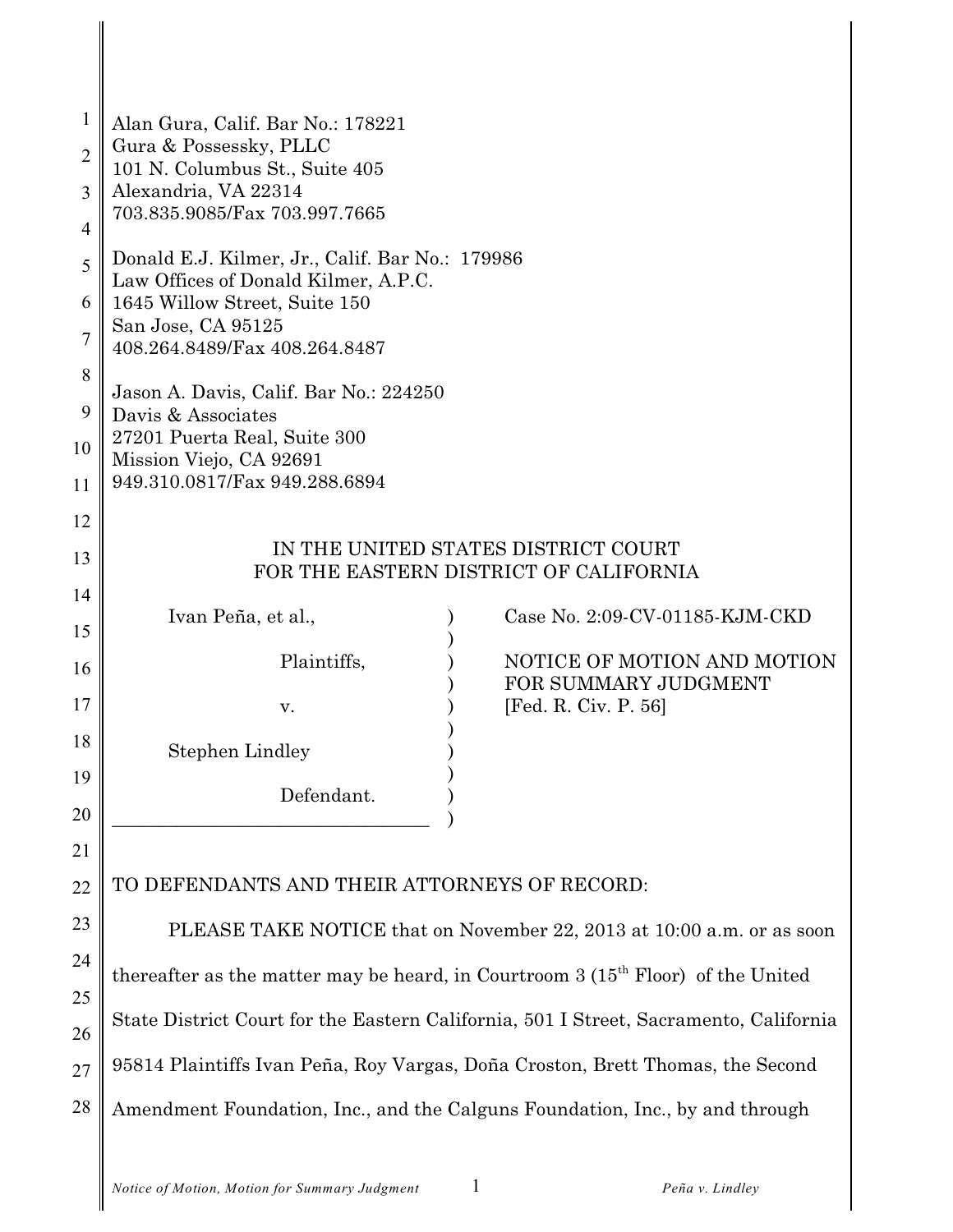| 1<br>$\overline{2}$ | Alan Gura, Calif. Bar No.: 178221<br>Gura & Possessky, PLLC                           |                                                     |
|---------------------|---------------------------------------------------------------------------------------|-----------------------------------------------------|
| 3                   | 101 N. Columbus St., Suite 405<br>Alexandria, VA 22314                                |                                                     |
| 4                   | 703.835.9085/Fax 703.997.7665                                                         |                                                     |
| 5                   | Donald E.J. Kilmer, Jr., Calif. Bar No.: 179986                                       |                                                     |
| 6                   | Law Offices of Donald Kilmer, A.P.C.<br>1645 Willow Street, Suite 150                 |                                                     |
| 7                   | San Jose, CA 95125<br>408.264.8489/Fax 408.264.8487                                   |                                                     |
| 8                   | Jason A. Davis, Calif. Bar No.: 224250                                                |                                                     |
| 9                   | Davis & Associates                                                                    |                                                     |
| 10                  | 27201 Puerta Real, Suite 300<br>Mission Viejo, CA 92691                               |                                                     |
| 11                  | 949.310.0817/Fax 949.288.6894                                                         |                                                     |
| 12                  |                                                                                       |                                                     |
| 13                  | IN THE UNITED STATES DISTRICT COURT<br>FOR THE EASTERN DISTRICT OF CALIFORNIA         |                                                     |
| 14                  | Ivan Peña, et al.,                                                                    | Case No. 2:09-CV-01185-KJM-CKD                      |
| 15                  |                                                                                       |                                                     |
| 16                  | Plaintiffs,                                                                           | NOTICE OF MOTION AND MOTION<br>FOR SUMMARY JUDGMENT |
| 17                  | V.                                                                                    | [Fed. R. Civ. P. 56]                                |
| 18                  | <b>Stephen Lindley</b>                                                                |                                                     |
| 19                  | Defendant.                                                                            |                                                     |
| 20                  |                                                                                       |                                                     |
| 21                  |                                                                                       |                                                     |
| 22                  | TO DEFENDANTS AND THEIR ATTORNEYS OF RECORD:                                          |                                                     |
| 23                  | PLEASE TAKE NOTICE that on November 22, 2013 at 10:00 a.m. or as soon                 |                                                     |
| 24                  | thereafter as the matter may be heard, in Courtroom $3(15th$ Floor) of the United     |                                                     |
| 25                  | State District Court for the Eastern California, 501 I Street, Sacramento, California |                                                     |
| 26                  |                                                                                       |                                                     |
| 27                  | 95814 Plaintiffs Ivan Peña, Roy Vargas, Doña Croston, Brett Thomas, the Second        |                                                     |
| 28                  | Amendment Foundation, Inc., and the Calguns Foundation, Inc., by and through          |                                                     |